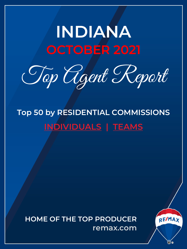# <span id="page-0-0"></span>**INDIANA OCTOBER 2021**

Top Agent Report

**Top 50 by RESIDENTIAL COMMISSIONS INDIVIDUALS | TEAMS**

**HOME OF THE TOP PRODUCER remax.com**

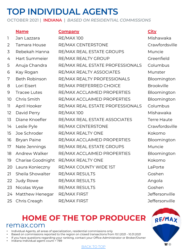# **TOP INDIVIDUAL AGENTS**

**OCTOBER 2021 | INDIANA |** *BASED ON RESIDENTIAL COMMISSIONS*

### **Name Company City**

### 1 Jan Lazzara RE/MAX 100 Mishawaka 2 Tamara House RE/MAX CENTERSTONE Crawfordsville 3 Rebekah Hanna RE/MAX REAL ESTATE GROUPS Muncie 4 Hart Summeier RE/MAX REALTY GROUP Greenfield 5 Anuja Chandra RE/MAX REAL ESTATE PROFESSIONALS Columbus 6 Kay Rogan RE/MAX REALTY ASSOCIATES Munster 7 Beth Robinson RE/MAX REALTY PROFESSIONALS Bloomington 8 Lori Eisert RE/MAX PREFERRED CHOICE Brookville 9 Tracee Lutes RE/MAX ACCLAIMED PROPERTIES Bloomington 10 Chris Smith RE/MAX ACCLAIMED PROPERTIES Bloomington 11 April Hooker RE/MAX REAL ESTATE PROFESSIONALS Columbus 12 David Perry RE/MAX 100 Mishawaka 13 Diane Knoefler RE/MAX REAL ESTATE ASSOCIATES Terre Haute 14 Leslie Pyle RE/MAX CENTERSTONE Crawfordsville 15 Joe Schroder RE/MAX REALTY ONE The Review Reform of the Review Reformation of the Review Reformation of the R 16 Bryan Paine RE/MAX ACCLAIMED PROPERTIES Bloomington 17 Nate Jennings RE/MAX REAL ESTATE GROUPS Muncie 18 Andrew Walker RE/MAX ACCLAIMED PROPERTIES Bloomington 19 Charise Goodnight RE/MAX REALTY ONE The Control of Kokomo 20 Laura Konieczny RE/MAX COUNTY WIDE 1ST LaPorte 21 Sheila Showalter RE/MAX RESULTS Goshen 22 Judy Rowe RE/MAX RESULTS Angola 23 Nicolas Wyse RE/MAX RESULTS Coshen 24 Matthew Henegar RE/MAX FIRST **State and Secure 124 Matthew Henegar** RE/MAX FIRST 25 Chris Creagh RE/MAX FIRST Contract the Superintent Christian Christian Christian Action Christian Deffersonville

# **HOME OF THE [TOP PR](#page-0-0)ODUCER** remax.com

- Individual Agents, all areas of specialization, residential commissions only
- Based on commissions reported to the region on closed transactions from 10.1.2021 10.31.2021
- If you have questions regarding your ranking, contact your Office Administrator or Broker/Owner
- Indiana Individual agent count = 789

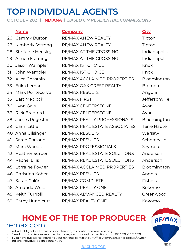# **TOP INDIVIDUAL AGENTS**

**OCTOBER 2021 | INDIANA |** *BASED ON RESIDENTIAL COMMISSIONS*

**Name Company City** 26 Cammy Burton RE/MAX ANEW REALTY Tipton 27 Kimberly Sottong RE/MAX ANEW REALTY Tipton 28 Steffanie Hensley RE/MAX AT THE CROSSING Indianapolis 29 Aimee Fleming RE/MAX AT THE CROSSING Indianapolis 30 Jason Wampler RE/MAX 1ST CHOICE Knox 31 John Wampler RE/MAX IST CHOICE Knox 32 Alice Chastain RE/MAX ACCLAIMED PROPERTIES Bloomington 33 Erika Leman RE/MAX OAK CREST REALTY Bremen 34 Mark Pontecorvo RE/MAX RESULTS Angola 35 Bart Medlock RE/MAX FIRST Jeffersonville 36 Lynn Geis RE/MAX CENTERSTONE Avon 37 Rick Bradford RE/MAX CENTERSTONE Avon 38 James Regester RE/MAX REALTY PROFESSIONALS Bloomington 39 Cami Little RE/MAX REAL ESTATE ASSOCIATES Terre Haute 40 Anna Gilsinger RE/MAX RESULTS Warsaw 41 Sarah Portone RE/MAX RESULTS Schererville 42 Marc Woods RE/MAX PROFESSIONALS Seymour 43 Heather Surber RE/MAX REAL ESTATE SOLUTIONS Anderson 44 Rachel Ellis RE/MAX REAL ESTATE SOLUTIONS Anderson 45 Lorraine Fowler RE/MAX ACCLAIMED PROPERTIES Bloomington 46 Christina Koher RE/MAX RESULTS Angola 47 Sarah Colón RE/MAX COMPLETE Fishers 48 Amanda West RE/MAX REALTY ONE Kokomo 49 Keith Turnbill RE/MAX ADVANCED REALTY Greenwood 50 Cathy Hunnicutt RE/MAX REALTY ONE Kokomo

# **HOME OF THE [TOP PR](#page-0-0)ODUCER** remax.com

- Individual Agents, all areas of specialization, residential commissions only
- Based on commissions reported to the region on closed transactions from 10.1.2021 10.31.2021
- If you have questions regarding your ranking, contact your Office Administrator or Broker/Owner
- Indiana Individual agent count = 789

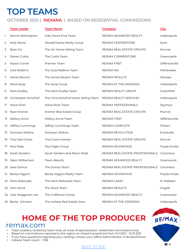# **TOP TEAMS**

### **OCTOBER 2021 | INDIANA |** *BASED ON RESIDENTIAL COMMISSIONS*

|     | <b>Team Leader</b>   | <b>Team Name</b>                     | <b>Company</b>                   | <b>City</b>           |
|-----|----------------------|--------------------------------------|----------------------------------|-----------------------|
| 1   | Dennis Nottingham    | Indy Home Pros Team                  | RE/MAX ADVANCED REALTY           | Indianapolis          |
| 2   | Kelly Wood           | Wood Charles Realty Group            | RE/MAX CENTERSTONE               | Avon                  |
| 3   | Ryan Orr             | The Orr Home Selling Team            | RE/MAX REAL ESTATE GROUPS        | Muncie                |
| 4   | <b>Steven Custis</b> | The Custis Team                      | RE/MAX CORNERSTONE               | Greencastle           |
| 5   | Alyson Turner        | Premier Team                         | RE/MAX FIRST                     | <b>Jeffersonville</b> |
| 6   | Julia Robbins        | The Julia Robbins Team               | <b>RE/MAX 100</b>                | Mishawaka             |
| 7   | James Bausch         | The James Bausch Team                | RE/MAX RESULTS                   | Warsaw                |
| 8   | Steve Sergi          | The Sergi Group                      | RE/MAX AT THE CROSSING           | Indianapolis          |
| 9   | Mark Dudley          | The Mark Dudley Team                 | RE/MAX REALTY GROUP              | Greenfield            |
| 10  | Christopher Schulhof | The Chris Schulhof Home Selling Team | RE/MAX REALTY SERVICES           | Indianapolis          |
| 11. | Steve Silver         | Steve Silver Team                    | RE/MAX PROFESSIONALS             | Seymour               |
| 12  | Ryan Kramer          | Kramer Real Estate Group             | RE/MAX REAL ESTATE GROUPS        | Muncie                |
| 13  | Mallory Annis        | Mallory Annis Team                   | RE/MAX FIRST                     | <b>Jeffersonville</b> |
| 14  | Jeffrey Cummings     | Jeffrey Cummings Team                | RE/MAX COMPLETE                  | Fishers               |
| 15  | Donovan Wilkins      | Donovan Wilkins                      | RE/MAX REVOLUTION                | Evansville            |
| 16  | Tina Cale-Coons      | Tina Coons Homes                     | RE/MAX REAL ESTATE GROUPS        | Muncie                |
| 17  | Paul Kiger           | Paul Kiger Group                     | RE/MAX ADVANTAGE                 | Floyds Knobs          |
| 18  | Sarah Sanders        | Sarah Sanders and Alison Wold        | RE/MAX REAL ESTATE PROFESSIONALS | Columbus              |
| 19  | Jason Williamson     | Team-Results                         | RE/MAX ADVANCED REALTY           | Greenwood             |
|     | 20 Jean Donica       | The Donica Team                      | RE/MAX REAL ESTATE PROFESSIONALS | Columbus              |
| 21  | Becky Higgins        | Becky Higgins Realty Team            | RE/MAX ADVANTAGE                 | Floyds Knobs          |
|     | 22 Mark Skibowski    | The Mark Skibowski Team              | RE/MAX LAKES                     | N. Webster            |
|     | 23 John Stock        | The Stock Team                       | RE/MAX RESULTS                   | Angola                |
|     | 24 Cate Waggoner-Lee | The Craftsman Group                  | RE/MAX ADVANCED REALTY           | Greenwood             |
|     | 25 Becky Johnson     | The Indiana Real Estate Stars        | RE/MAX AT THE CROSSING           | Indianapolis          |

# **HOME OF THE [TOP PR](#page-0-0)ODUCER** remax.com

- Team Leaders, ranked by team total, all areas of specialization, residential commissions only.
- Based on commissions reported to the region on closed transactions from 10.1.2021 10.31.2021
- If you have questions regarding your ranking, contact your Office Administrator or Broker/Owner
- Indiana Team count = 108